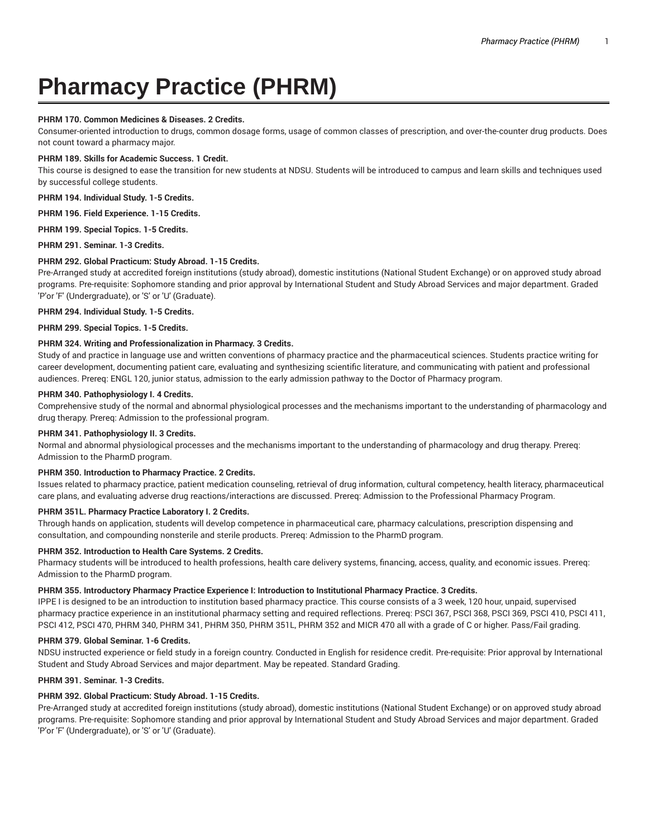# **Pharmacy Practice (PHRM)**

## **PHRM 170. Common Medicines & Diseases. 2 Credits.**

Consumer-oriented introduction to drugs, common dosage forms, usage of common classes of prescription, and over-the-counter drug products. Does not count toward a pharmacy major.

## **PHRM 189. Skills for Academic Success. 1 Credit.**

This course is designed to ease the transition for new students at NDSU. Students will be introduced to campus and learn skills and techniques used by successful college students.

**PHRM 194. Individual Study. 1-5 Credits.**

**PHRM 196. Field Experience. 1-15 Credits.**

**PHRM 199. Special Topics. 1-5 Credits.**

**PHRM 291. Seminar. 1-3 Credits.**

## **PHRM 292. Global Practicum: Study Abroad. 1-15 Credits.**

Pre-Arranged study at accredited foreign institutions (study abroad), domestic institutions (National Student Exchange) or on approved study abroad programs. Pre-requisite: Sophomore standing and prior approval by International Student and Study Abroad Services and major department. Graded 'P'or 'F' (Undergraduate), or 'S' or 'U' (Graduate).

**PHRM 294. Individual Study. 1-5 Credits.**

**PHRM 299. Special Topics. 1-5 Credits.**

## **PHRM 324. Writing and Professionalization in Pharmacy. 3 Credits.**

Study of and practice in language use and written conventions of pharmacy practice and the pharmaceutical sciences. Students practice writing for career development, documenting patient care, evaluating and synthesizing scientific literature, and communicating with patient and professional audiences. Prereq: ENGL 120, junior status, admission to the early admission pathway to the Doctor of Pharmacy program.

# **PHRM 340. Pathophysiology I. 4 Credits.**

Comprehensive study of the normal and abnormal physiological processes and the mechanisms important to the understanding of pharmacology and drug therapy. Prereq: Admission to the professional program.

# **PHRM 341. Pathophysiology II. 3 Credits.**

Normal and abnormal physiological processes and the mechanisms important to the understanding of pharmacology and drug therapy. Prereq: Admission to the PharmD program.

## **PHRM 350. Introduction to Pharmacy Practice. 2 Credits.**

Issues related to pharmacy practice, patient medication counseling, retrieval of drug information, cultural competency, health literacy, pharmaceutical care plans, and evaluating adverse drug reactions/interactions are discussed. Prereq: Admission to the Professional Pharmacy Program.

## **PHRM 351L. Pharmacy Practice Laboratory I. 2 Credits.**

Through hands on application, students will develop competence in pharmaceutical care, pharmacy calculations, prescription dispensing and consultation, and compounding nonsterile and sterile products. Prereq: Admission to the PharmD program.

# **PHRM 352. Introduction to Health Care Systems. 2 Credits.**

Pharmacy students will be introduced to health professions, health care delivery systems, financing, access, quality, and economic issues. Prereq: Admission to the PharmD program.

#### **PHRM 355. Introductory Pharmacy Practice Experience I: Introduction to Institutional Pharmacy Practice. 3 Credits.**

IPPE I is designed to be an introduction to institution based pharmacy practice. This course consists of a 3 week, 120 hour, unpaid, supervised pharmacy practice experience in an institutional pharmacy setting and required reflections. Prereq: PSCI 367, PSCI 368, PSCI 369, PSCI 410, PSCI 411, PSCI 412, PSCI 470, PHRM 340, PHRM 341, PHRM 350, PHRM 351L, PHRM 352 and MICR 470 all with a grade of C or higher. Pass/Fail grading.

#### **PHRM 379. Global Seminar. 1-6 Credits.**

NDSU instructed experience or field study in a foreign country. Conducted in English for residence credit. Pre-requisite: Prior approval by International Student and Study Abroad Services and major department. May be repeated. Standard Grading.

# **PHRM 391. Seminar. 1-3 Credits.**

## **PHRM 392. Global Practicum: Study Abroad. 1-15 Credits.**

Pre-Arranged study at accredited foreign institutions (study abroad), domestic institutions (National Student Exchange) or on approved study abroad programs. Pre-requisite: Sophomore standing and prior approval by International Student and Study Abroad Services and major department. Graded 'P'or 'F' (Undergraduate), or 'S' or 'U' (Graduate).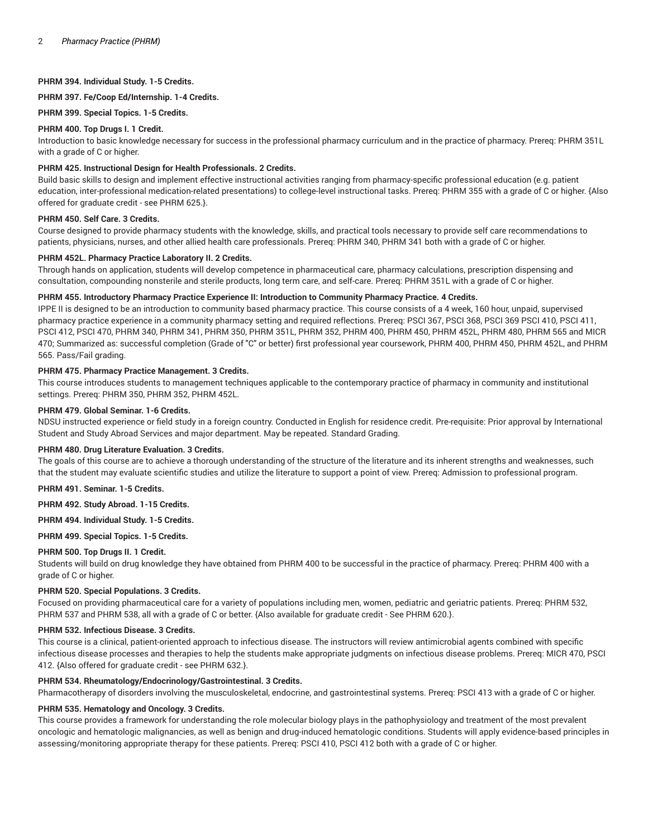# **PHRM 394. Individual Study. 1-5 Credits.**

**PHRM 397. Fe/Coop Ed/Internship. 1-4 Credits.**

**PHRM 399. Special Topics. 1-5 Credits.**

### **PHRM 400. Top Drugs I. 1 Credit.**

Introduction to basic knowledge necessary for success in the professional pharmacy curriculum and in the practice of pharmacy. Prereq: PHRM 351L with a grade of C or higher.

# **PHRM 425. Instructional Design for Health Professionals. 2 Credits.**

Build basic skills to design and implement effective instructional activities ranging from pharmacy-specific professional education (e.g. patient education, inter-professional medication-related presentations) to college-level instructional tasks. Prereq: PHRM 355 with a grade of C or higher. {Also offered for graduate credit - see PHRM 625.}.

## **PHRM 450. Self Care. 3 Credits.**

Course designed to provide pharmacy students with the knowledge, skills, and practical tools necessary to provide self care recommendations to patients, physicians, nurses, and other allied health care professionals. Prereq: PHRM 340, PHRM 341 both with a grade of C or higher.

### **PHRM 452L. Pharmacy Practice Laboratory II. 2 Credits.**

Through hands on application, students will develop competence in pharmaceutical care, pharmacy calculations, prescription dispensing and consultation, compounding nonsterile and sterile products, long term care, and self-care. Prereq: PHRM 351L with a grade of C or higher.

### **PHRM 455. Introductory Pharmacy Practice Experience II: Introduction to Community Pharmacy Practice. 4 Credits.**

IPPE II is designed to be an introduction to community based pharmacy practice. This course consists of a 4 week, 160 hour, unpaid, supervised pharmacy practice experience in a community pharmacy setting and required reflections. Prereq: PSCI 367, PSCI 368, PSCI 369 PSCI 410, PSCI 411, PSCI 412, PSCI 470, PHRM 340, PHRM 341, PHRM 350, PHRM 351L, PHRM 352, PHRM 400, PHRM 450, PHRM 452L, PHRM 480, PHRM 565 and MICR 470; Summarized as: successful completion (Grade of "C" or better) first professional year coursework, PHRM 400, PHRM 450, PHRM 452L, and PHRM 565. Pass/Fail grading.

# **PHRM 475. Pharmacy Practice Management. 3 Credits.**

This course introduces students to management techniques applicable to the contemporary practice of pharmacy in community and institutional settings. Prereq: PHRM 350, PHRM 352, PHRM 452L.

## **PHRM 479. Global Seminar. 1-6 Credits.**

NDSU instructed experience or field study in a foreign country. Conducted in English for residence credit. Pre-requisite: Prior approval by International Student and Study Abroad Services and major department. May be repeated. Standard Grading.

#### **PHRM 480. Drug Literature Evaluation. 3 Credits.**

The goals of this course are to achieve a thorough understanding of the structure of the literature and its inherent strengths and weaknesses, such that the student may evaluate scientific studies and utilize the literature to support a point of view. Prereq: Admission to professional program.

**PHRM 491. Seminar. 1-5 Credits.**

**PHRM 492. Study Abroad. 1-15 Credits.**

**PHRM 494. Individual Study. 1-5 Credits.**

**PHRM 499. Special Topics. 1-5 Credits.**

#### **PHRM 500. Top Drugs II. 1 Credit.**

Students will build on drug knowledge they have obtained from PHRM 400 to be successful in the practice of pharmacy. Prereq: PHRM 400 with a grade of C or higher.

#### **PHRM 520. Special Populations. 3 Credits.**

Focused on providing pharmaceutical care for a variety of populations including men, women, pediatric and geriatric patients. Prereq: PHRM 532, PHRM 537 and PHRM 538, all with a grade of C or better. {Also available for graduate credit - See PHRM 620.}.

#### **PHRM 532. Infectious Disease. 3 Credits.**

This course is a clinical, patient-oriented approach to infectious disease. The instructors will review antimicrobial agents combined with specific infectious disease processes and therapies to help the students make appropriate judgments on infectious disease problems. Prereq: MICR 470, PSCI 412. {Also offered for graduate credit - see PHRM 632.}.

## **PHRM 534. Rheumatology/Endocrinology/Gastrointestinal. 3 Credits.**

Pharmacotherapy of disorders involving the musculoskeletal, endocrine, and gastrointestinal systems. Prereq: PSCI 413 with a grade of C or higher.

## **PHRM 535. Hematology and Oncology. 3 Credits.**

This course provides a framework for understanding the role molecular biology plays in the pathophysiology and treatment of the most prevalent oncologic and hematologic malignancies, as well as benign and drug-induced hematologic conditions. Students will apply evidence-based principles in assessing/monitoring appropriate therapy for these patients. Prereq: PSCI 410, PSCI 412 both with a grade of C or higher.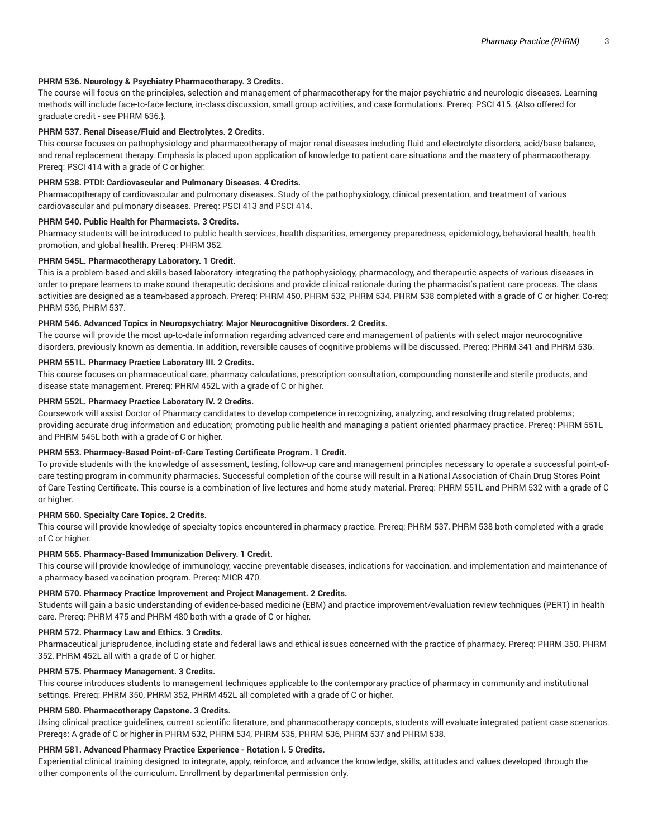## **PHRM 536. Neurology & Psychiatry Pharmacotherapy. 3 Credits.**

The course will focus on the principles, selection and management of pharmacotherapy for the major psychiatric and neurologic diseases. Learning methods will include face-to-face lecture, in-class discussion, small group activities, and case formulations. Prereq: PSCI 415. {Also offered for graduate credit - see PHRM 636.}.

## **PHRM 537. Renal Disease/Fluid and Electrolytes. 2 Credits.**

This course focuses on pathophysiology and pharmacotherapy of major renal diseases including fluid and electrolyte disorders, acid/base balance, and renal replacement therapy. Emphasis is placed upon application of knowledge to patient care situations and the mastery of pharmacotherapy. Prereq: PSCI 414 with a grade of C or higher.

## **PHRM 538. PTDI: Cardiovascular and Pulmonary Diseases. 4 Credits.**

Pharmacoptherapy of cardiovascular and pulmonary diseases. Study of the pathophysiology, clinical presentation, and treatment of various cardiovascular and pulmonary diseases. Prereq: PSCI 413 and PSCI 414.

#### **PHRM 540. Public Health for Pharmacists. 3 Credits.**

Pharmacy students will be introduced to public health services, health disparities, emergency preparedness, epidemiology, behavioral health, health promotion, and global health. Prereq: PHRM 352.

#### **PHRM 545L. Pharmacotherapy Laboratory. 1 Credit.**

This is a problem-based and skills-based laboratory integrating the pathophysiology, pharmacology, and therapeutic aspects of various diseases in order to prepare learners to make sound therapeutic decisions and provide clinical rationale during the pharmacist's patient care process. The class activities are designed as a team-based approach. Prereq: PHRM 450, PHRM 532, PHRM 534, PHRM 538 completed with a grade of C or higher. Co-req: PHRM 536, PHRM 537.

#### **PHRM 546. Advanced Topics in Neuropsychiatry: Major Neurocognitive Disorders. 2 Credits.**

The course will provide the most up-to-date information regarding advanced care and management of patients with select major neurocognitive disorders, previously known as dementia. In addition, reversible causes of cognitive problems will be discussed. Prereq: PHRM 341 and PHRM 536.

#### **PHRM 551L. Pharmacy Practice Laboratory III. 2 Credits.**

This course focuses on pharmaceutical care, pharmacy calculations, prescription consultation, compounding nonsterile and sterile products, and disease state management. Prereq: PHRM 452L with a grade of C or higher.

## **PHRM 552L. Pharmacy Practice Laboratory IV. 2 Credits.**

Coursework will assist Doctor of Pharmacy candidates to develop competence in recognizing, analyzing, and resolving drug related problems; providing accurate drug information and education; promoting public health and managing a patient oriented pharmacy practice. Prereq: PHRM 551L and PHRM 545L both with a grade of C or higher.

# **PHRM 553. Pharmacy-Based Point-of-Care Testing Certificate Program. 1 Credit.**

To provide students with the knowledge of assessment, testing, follow-up care and management principles necessary to operate a successful point-ofcare testing program in community pharmacies. Successful completion of the course will result in a National Association of Chain Drug Stores Point of Care Testing Certificate. This course is a combination of live lectures and home study material. Prereq: PHRM 551L and PHRM 532 with a grade of C or higher.

#### **PHRM 560. Specialty Care Topics. 2 Credits.**

This course will provide knowledge of specialty topics encountered in pharmacy practice. Prereq: PHRM 537, PHRM 538 both completed with a grade of C or higher.

#### **PHRM 565. Pharmacy-Based Immunization Delivery. 1 Credit.**

This course will provide knowledge of immunology, vaccine-preventable diseases, indications for vaccination, and implementation and maintenance of a pharmacy-based vaccination program. Prereq: MICR 470.

#### **PHRM 570. Pharmacy Practice Improvement and Project Management. 2 Credits.**

Students will gain a basic understanding of evidence-based medicine (EBM) and practice improvement/evaluation review techniques (PERT) in health care. Prereq: PHRM 475 and PHRM 480 both with a grade of C or higher.

#### **PHRM 572. Pharmacy Law and Ethics. 3 Credits.**

Pharmaceutical jurisprudence, including state and federal laws and ethical issues concerned with the practice of pharmacy. Prereq: PHRM 350, PHRM 352, PHRM 452L all with a grade of C or higher.

#### **PHRM 575. Pharmacy Management. 3 Credits.**

This course introduces students to management techniques applicable to the contemporary practice of pharmacy in community and institutional settings. Prereq: PHRM 350, PHRM 352, PHRM 452L all completed with a grade of C or higher.

#### **PHRM 580. Pharmacotherapy Capstone. 3 Credits.**

Using clinical practice guidelines, current scientific literature, and pharmacotherapy concepts, students will evaluate integrated patient case scenarios. Prereqs: A grade of C or higher in PHRM 532, PHRM 534, PHRM 535, PHRM 536, PHRM 537 and PHRM 538.

#### **PHRM 581. Advanced Pharmacy Practice Experience - Rotation I. 5 Credits.**

Experiential clinical training designed to integrate, apply, reinforce, and advance the knowledge, skills, attitudes and values developed through the other components of the curriculum. Enrollment by departmental permission only.